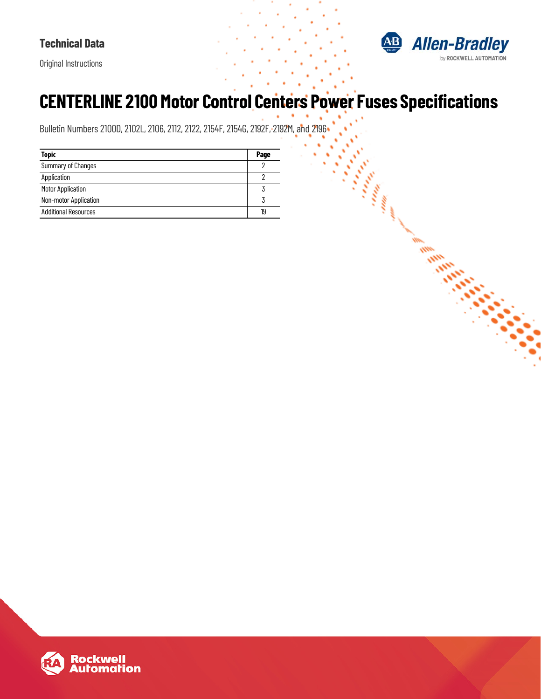

**Communication** 

i.

Original Instructions

# **CENTERLINE 2100 Motor Control Centers Power Fuses Specifications**

Bulletin Numbers 2100D, 2102L, 2106, 2112, 2122, 2154F, 2154G, 2192F, 2192M, and 2196

| <b>Topic</b>                | Page |
|-----------------------------|------|
| <b>Summary of Changes</b>   |      |
| Application                 |      |
| <b>Motor Application</b>    |      |
| Non-motor Application       |      |
| <b>Additional Resources</b> | 19   |

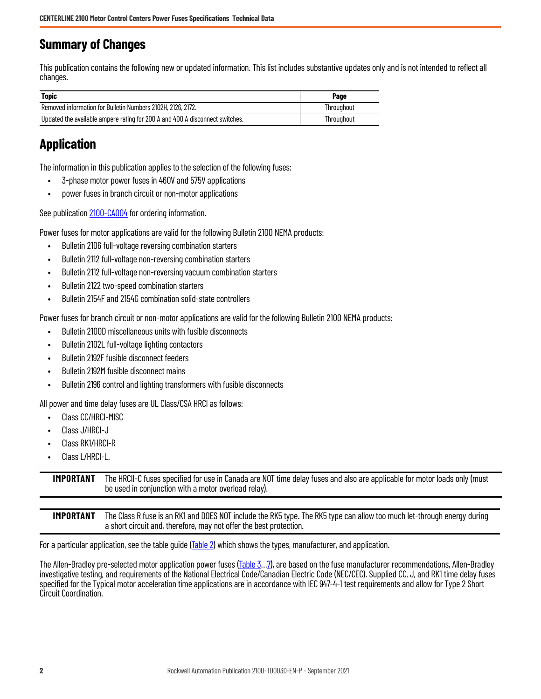# <span id="page-1-0"></span>**Summary of Changes**

This publication contains the following new or updated information. This list includes substantive updates only and is not intended to reflect all changes.

| <b>Topic</b>                                                                 | Page       |
|------------------------------------------------------------------------------|------------|
| Removed information for Bulletin Numbers 2102H, 2126, 2172.                  | Throuahout |
| Updated the available ampere rating for 200 A and 400 A disconnect switches. | Throuahout |

# <span id="page-1-1"></span>**Application**

The information in this publication applies to the selection of the following fuses:

- 3-phase motor power fuses in 460V and 575V applications
- power fuses in branch circuit or non-motor applications

See publication [2100-CA004](https://literature.rockwellautomation.com/idc/groups/literature/documents/ca/2100-ca004_-en-p.pdf) for ordering information.

Power fuses for motor applications are valid for the following Bulletin 2100 NEMA products:

- Bulletin 2106 full-voltage reversing combination starters
- Bulletin 2112 full-voltage non-reversing combination starters
- Bulletin 2112 full-voltage non-reversing vacuum combination starters
- Bulletin 2122 two-speed combination starters
- Bulletin 2154F and 2154G combination solid-state controllers

Power fuses for branch circuit or non-motor applications are valid for the following Bulletin 2100 NEMA products:

- Bulletin 2100D miscellaneous units with fusible disconnects
- Bulletin 2102L full-voltage lighting contactors
- Bulletin 2192F fusible disconnect feeders
- Bulletin 2192M fusible disconnect mains
- Bulletin 2196 control and lighting transformers with fusible disconnects

All power and time delay fuses are UL Class/CSA HRCI as follows:

- Class CC/HRCI-MISC
- Class J/HRCI-J
- Class RK1/HRCI-R
- Class L/HRCI-L.

**IMPORTANT** The HRCII-C fuses specified for use in Canada are NOT time delay fuses and also are applicable for motor loads only (must be used in conjunction with a motor overload relay).

**IMPORTANT** The Class R fuse is an RK1 and DOES NOT include the RK5 type. The RK5 type can allow too much let-through energy during a short circuit and, therefore, may not offer the best protection.

For a particular application, see the table quide [\(Table 2\)](#page-3-0) which shows the types, manufacturer, and application.

The Allen-Bradley pre-selected motor application power fuses ([Table 3](#page-4-0)...7), are based on the fuse manufacturer recommendations, Allen-Bradley investigative testing, and requirements of the National Electrical Code/Canadian Electric Code (NEC/CEC). Supplied CC, J, and RK1 time delay fuses specified for the Typical motor acceleration time applications are in accordance with IEC 947-4-1 test requirements and allow for Type 2 Short Circuit Coordination.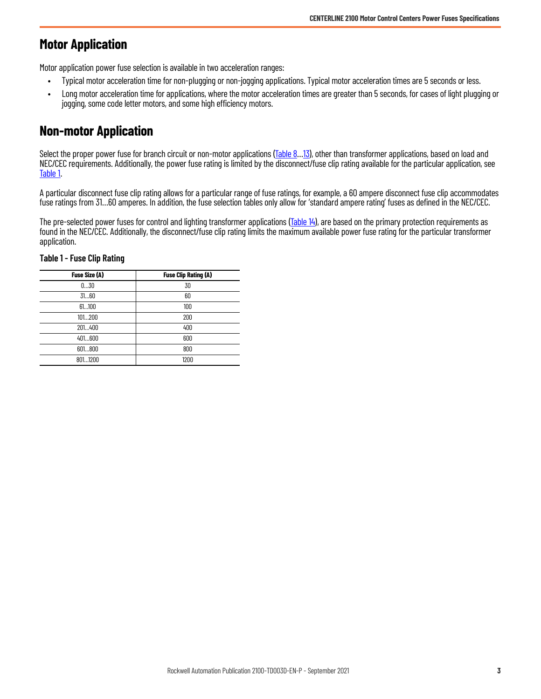# <span id="page-2-0"></span>**Motor Application**

Motor application power fuse selection is available in two acceleration ranges:

- Typical motor acceleration time for non-plugging or non-jogging applications. Typical motor acceleration times are 5 seconds or less.
- Long motor acceleration time for applications, where the motor acceleration times are greater than 5 seconds, for cases of light plugging or jogging, some code letter motors, and some high efficiency motors.

# <span id="page-2-1"></span>**Non-motor Application**

Select the proper power fuse for branch circuit or non-motor applications ([Table 8](#page-6-1)...13), other than transformer applications, based on load and NEC/CEC requirements. Additionally, the power fuse rating is limited by the disconnect/fuse clip rating available for the particular application, see [Table 1](#page-2-2).

A particular disconnect fuse clip rating allows for a particular range of fuse ratings, for example, a 60 ampere disconnect fuse clip accommodates fuse ratings from 31…60 amperes. In addition, the fuse selection tables only allow for 'standard ampere rating' fuses as defined in the NEC/CEC.

The pre-selected power fuses for control and lighting transformer applications ([Table 14\)](#page-9-1), are based on the primary protection requirements as found in the NEC/CEC. Additionally, the disconnect/fuse clip rating limits the maximum available power fuse rating for the particular transformer application.

| Fuse Size (A) | <b>Fuse Clip Rating (A)</b> |
|---------------|-----------------------------|
| 030           | 30                          |
| 3160          | 60                          |
| 61100         | 100                         |
| 101200        | 200                         |
| 201400        | 400                         |
| 401600        | 600                         |
| 601800        | 800                         |
| 8011200       | 1200                        |

#### <span id="page-2-2"></span>**Table 1 - Fuse Clip Rating**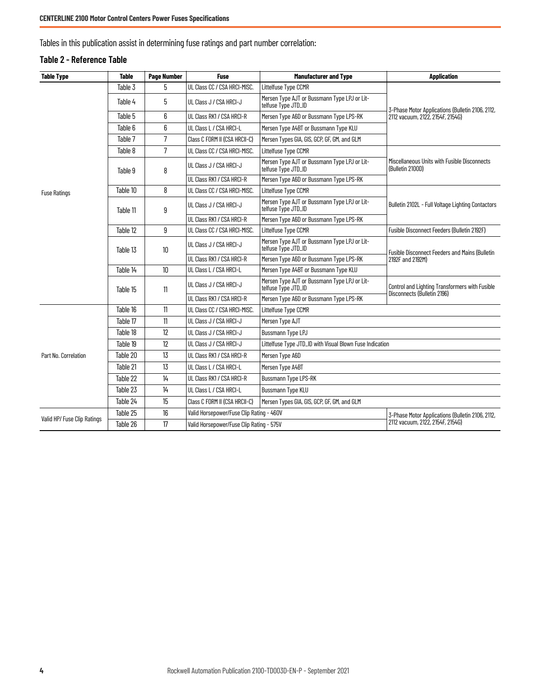Tables in this publication assist in determining fuse ratings and part number correlation:

#### <span id="page-3-0"></span>**Table 2 - Reference Table**

| <b>Table Type</b>                            | <b>Table</b>   | <b>Page Number</b>           | <b>Fuse</b>                                                          | <b>Manufacturer and Type</b>                                        | <b>Application</b>                                                            |  |
|----------------------------------------------|----------------|------------------------------|----------------------------------------------------------------------|---------------------------------------------------------------------|-------------------------------------------------------------------------------|--|
|                                              | Table 3        | 5                            | UL Class CC / CSA HRCI-MISC.                                         | Littelfuse Type CCMR                                                |                                                                               |  |
|                                              | Table 4        | 5                            | UL Class J / CSA HRCI-J                                              | Mersen Type AJT or Bussmann Type LPJ or Lit-<br>telfuse Type JTD_ID | 3-Phase Motor Applications (Bulletin 2106, 2112,                              |  |
|                                              | Table 5        | 6                            | Mersen Type A6D or Bussmann Type LPS-RK<br>UL Class RK1 / CSA HRCI-R |                                                                     | 2112 vacuum, 2122, 2154F, 2154G)                                              |  |
|                                              | Table 6        | 6                            | UL Class L / CSA HRCI-L                                              | Mersen Type A4BT or Bussmann Type KLU                               |                                                                               |  |
|                                              | Table 7        | 7                            | Class C FORM II (CSA HRCII-C)                                        | Mersen Types GIA, GIS, GCP, GF, GM, and GLM                         |                                                                               |  |
|                                              | Table 8        | 7                            | UL Class CC / CSA HRCI-MISC.                                         | Littelfuse Type CCMR                                                |                                                                               |  |
|                                              | Table 9        | 8                            | UL Class J / CSA HRCI-J                                              | Mersen Type AJT or Bussmann Type LPJ or Lit-<br>telfuse Type JTD_ID | Miscellaneous Units with Fusible Disconnects<br>(Bulletin 2100D)              |  |
|                                              |                |                              | UL Class RK1 / CSA HRCI-R                                            | Mersen Type A6D or Bussmann Type LPS-RK                             |                                                                               |  |
| <b>Fuse Ratings</b>                          | Table 10       | 8                            | UL Class CC / CSA HRCI-MISC.                                         | Littelfuse Type CCMR                                                |                                                                               |  |
|                                              | Table 11       | 9                            | UL Class J / CSA HRCI-J                                              | Mersen Type AJT or Bussmann Type LPJ or Lit-<br>telfuse Type JTD_ID | Bulletin 2102L - Full Voltage Lighting Contactors                             |  |
|                                              |                |                              | UL Class RK1 / CSA HRCI-R                                            | Mersen Type A6D or Bussmann Type LPS-RK                             |                                                                               |  |
| Table 12<br>Table 13<br>Table 14<br>Table 15 | 9              | UL Class CC / CSA HRCI-MISC. | Littelfuse Type CCMR                                                 | Fusible Disconnect Feeders (Bulletin 2192F)                         |                                                                               |  |
|                                              |                | 10                           | UL Class J / CSA HRCI-J                                              | Mersen Type AJT or Bussmann Type LPJ or Lit-<br>telfuse Type JTD_ID | <b>Fusible Disconnect Feeders and Mains (Bulletin</b>                         |  |
|                                              |                |                              | UL Class RK1 / CSA HRCI-R                                            | Mersen Type A6D or Bussmann Type LPS-RK                             | 2192F and 2192M)                                                              |  |
|                                              |                | 10                           | UL Class L / CSA HRCI-L                                              | Mersen Type A4BT or Bussmann Type KLU                               |                                                                               |  |
|                                              |                | 11                           | UL Class J / CSA HRCI-J                                              | Mersen Type AJT or Bussmann Type LPJ or Lit-<br>telfuse Type JTD_ID | Control and Lighting Transformers with Fusible<br>Disconnects (Bulletin 2196) |  |
|                                              |                |                              | UL Class RK1 / CSA HRCI-R                                            | Mersen Type A6D or Bussmann Type LPS-RK                             |                                                                               |  |
|                                              | Table 16       | 11                           | UL Class CC / CSA HRCI-MISC.                                         | Littelfuse Type CCMR                                                |                                                                               |  |
|                                              | Table 17       | 11                           | UL Class J / CSA HRCI-J                                              | Mersen Type AJT                                                     |                                                                               |  |
|                                              | Table 18       | 12                           | UL Class J / CSA HRCI-J                                              | Bussmann Type LPJ                                                   |                                                                               |  |
|                                              | Table 19       | 12                           | UL Class J / CSA HRCI-J                                              | Littelfuse Type JTD_ID with Visual Blown Fuse Indication            |                                                                               |  |
| Part No. Correlation                         | Table 20       | 13                           | UL Class RK1 / CSA HRCI-R                                            | Mersen Type A6D                                                     |                                                                               |  |
|                                              | Table 21       | 13                           | UL Class L / CSA HRCI-L                                              | Mersen Type A4BT                                                    |                                                                               |  |
|                                              | Table 22       | 14                           | UL Class RK1 / CSA HRCI-R                                            | <b>Bussmann Type LPS-RK</b>                                         |                                                                               |  |
|                                              | Table 23       | 14                           | UL Class L / CSA HRCI-L                                              | <b>Bussmann Type KLU</b>                                            |                                                                               |  |
|                                              | Table 24       | 15                           | Class C FORM II (CSA HRCII-C)                                        | Mersen Types GIA, GIS, GCP, GF, GM, and GLM                         |                                                                               |  |
|                                              | Table 25       | 16                           | Valid Horsepower/Fuse Clip Rating - 460V                             |                                                                     | 3-Phase Motor Applications (Bulletin 2106, 2112,                              |  |
| Valid HP/ Fuse Clip Ratings                  | Table 26<br>17 |                              |                                                                      | Valid Horsepower/Fuse Clip Rating - 575V                            | 2112 vacuum, 2122, 2154F, 2154G)                                              |  |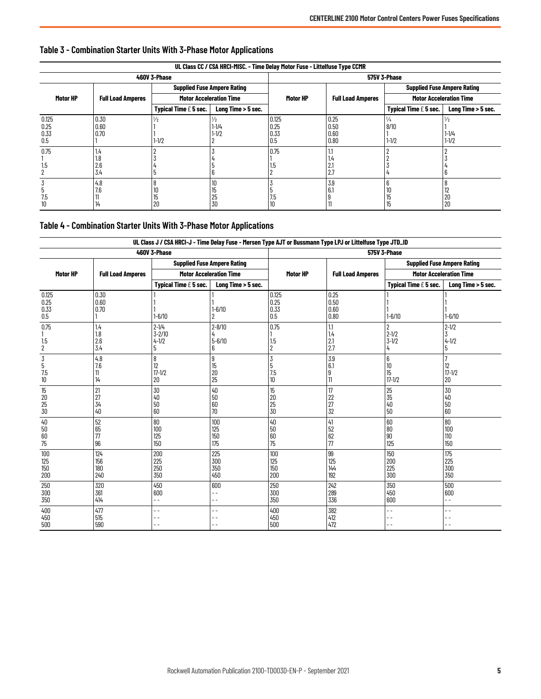| UL Class CC / CSA HRCI-MISC. - Time Delay Motor Fuse - Littelfuse Type CCMR |                          |                         |                                         |                              |                              |                                    |                        |
|-----------------------------------------------------------------------------|--------------------------|-------------------------|-----------------------------------------|------------------------------|------------------------------|------------------------------------|------------------------|
|                                                                             |                          | 460V 3-Phase            |                                         | 575V 3-Phase                 |                              |                                    |                        |
|                                                                             |                          |                         | <b>Supplied Fuse Ampere Rating</b>      |                              |                              | <b>Supplied Fuse Ampere Rating</b> |                        |
| Motor HP                                                                    | <b>Full Load Amperes</b> |                         | <b>Motor Acceleration Time</b>          | Motor HP                     | <b>Full Load Amperes</b>     | <b>Motor Acceleration Time</b>     |                        |
|                                                                             |                          | Typical Time $E$ 5 sec. | Long Time > 5 sec.                      |                              |                              | Typical Time $E$ 5 sec.            | Long Time > 5 sec.     |
| 0.125<br>0.25<br>0.33<br>0.5                                                | 0.30<br>0.60<br>0.70     | 1/2<br>$1 - 1/2$        | $\frac{1}{2}$<br>$1 - 1/4$<br>$1 - 1/2$ | 0.125<br>0.25<br>0.33<br>0.5 | 0.25<br>0.50<br>0.60<br>0.80 | 1/4<br>8/10<br>$1 - 1/2$           | $1 - 1/4$<br>$1 - 1/2$ |
| 0.75<br>1.5<br>2                                                            | 1.4<br>1.8<br>2.6<br>3.4 | 5                       |                                         | 0.75<br>1.5                  | ı٣<br>2.1<br>2.7             |                                    |                        |
| 7.5<br>10                                                                   | 4.8<br>7.6<br>14         | 8<br>10<br>15<br>20     | 10<br>15<br>25<br>30                    | 7.5<br>10                    | 3.9<br>6.1                   | ΙU<br>15<br>15                     | ı<br>20<br>20          |

## <span id="page-4-1"></span><span id="page-4-0"></span>**Table 3 - Combination Starter Units With 3-Phase Motor Applications**

# <span id="page-4-2"></span>**Table 4 - Combination Starter Units With 3-Phase Motor Applications**

|                                | UL Class J / CSA HRCI-J - Time Delay Fuse - Mersen Type AJT or Bussmann Type LPJ or Littelfuse Type JTD_ID |                                           |                                    |                               |                              |                                  |                                    |
|--------------------------------|------------------------------------------------------------------------------------------------------------|-------------------------------------------|------------------------------------|-------------------------------|------------------------------|----------------------------------|------------------------------------|
|                                |                                                                                                            | 460V 3-Phase                              |                                    | 575V 3-Phase                  |                              |                                  |                                    |
|                                |                                                                                                            |                                           | <b>Supplied Fuse Ampere Rating</b> |                               |                              |                                  | <b>Supplied Fuse Ampere Rating</b> |
| Motor HP                       | <b>Full Load Amperes</b>                                                                                   |                                           | <b>Motor Acceleration Time</b>     | Motor HP                      | <b>Full Load Amperes</b>     |                                  | <b>Motor Acceleration Time</b>     |
|                                |                                                                                                            | Typical Time $E$ 5 sec.                   | Long Time > 5 sec.                 |                               |                              | Typical Time $E$ 5 sec.          | Long Time > 5 sec.                 |
| 0.125<br>0.25<br>0.33<br>0.5   | 0.30<br>0.60<br>0.70                                                                                       | $1 - 6/10$                                | $1 - 6/10$<br>2                    | 0.125<br>0.25<br>0.33<br>0.5  | 0.25<br>0.50<br>0.60<br>0.80 | $1 - 6/10$                       | $1 - 6/10$                         |
| 0.75<br>1.5<br>$\overline{2}$  | 1.4<br>1.8<br>2.6<br>3.4                                                                                   | $2 - 1/4$<br>$3 - 2/10$<br>$4 - 1/2$<br>5 | $2 - 8/10$<br>$5 - 6/10$<br>6      | 0.75<br>1.5<br>$\overline{2}$ | 1.1<br>1.4<br>2.1<br>2.7     | 2<br>$2 - 1/2$<br>$3 - 1/2$<br>4 | $2 - 1/2$<br>$4 - 1/2$<br>5        |
| 3<br>5<br>7.5<br>10            | 4.8<br>7.6<br>11<br>14                                                                                     | 8<br>12<br>$17 - 1/2$<br>20               | 9<br>15<br>20<br>25                | 3<br>5<br>7.5<br>10           | 3.9<br>6.1<br>я              | 6<br>10<br>15<br>$17 - 1/2$      | 7<br>12<br>$17 - 1/2$<br>20        |
| 15<br>20<br>25<br>30           | 21<br>27<br>34<br>40                                                                                       | 30<br>40<br>50<br>60                      | 40<br>50<br>60<br>70               | 15<br>20<br>25<br>30          | 17<br>22<br>27<br>32         | 25<br>35<br>40<br>50             | 30<br>40<br>50<br>60               |
| 40<br>50<br>60<br>75           | 52<br>65<br>77<br>96                                                                                       | 80<br>100<br>125<br>150                   | 100<br>125<br>150<br>175           | 40<br>50<br>60<br>75          | 41<br>52<br>62<br>77         | 60<br>80<br>90<br>125            | 80<br>100<br>110<br>150            |
| 100<br>125<br>150<br>200       | 124<br>156<br>180<br>240                                                                                   | 200<br>225<br>250<br>350                  | 225<br>300<br>350<br>450           | 100<br>125<br>150<br>200      | 99<br>125<br>144<br>192      | 150<br>200<br>225<br>300         | 175<br>225<br>300<br>350           |
| 250<br>$\overline{300}$<br>350 | 320<br>361<br>414                                                                                          | 450<br>600<br>$-$                         | 600<br>$-$<br>$\overline{a}$       | 250<br>300<br>350             | 242<br>289<br>336            | 350<br>450<br>600                | 500<br>600<br>$ -$                 |
| 400<br>450<br>500              | 477<br>515<br>590                                                                                          |                                           | . .<br>. .                         | 400<br>450<br>500             | 382<br>412<br>472            | $-$<br>- -                       | $-$<br>- -                         |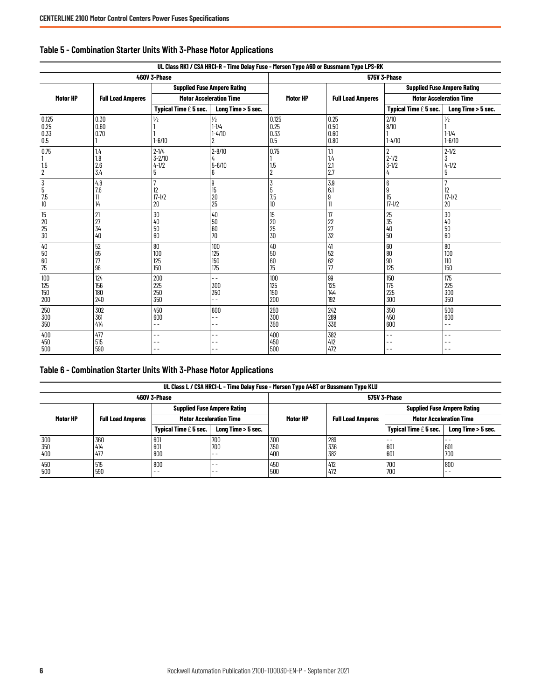| UL Class RK1 / CSA HRCI-R - Time Delay Fuse - Mersen Type A6D or Bussmann Type LPS-RK |                          |                                           |                                                             |                                                                 |                              |                                               |                                          |
|---------------------------------------------------------------------------------------|--------------------------|-------------------------------------------|-------------------------------------------------------------|-----------------------------------------------------------------|------------------------------|-----------------------------------------------|------------------------------------------|
|                                                                                       |                          | 460V 3-Phase                              |                                                             | <b>575V 3-Phase</b>                                             |                              |                                               |                                          |
|                                                                                       |                          |                                           | <b>Supplied Fuse Ampere Rating</b>                          |                                                                 |                              |                                               | <b>Supplied Fuse Ampere Rating</b>       |
| Motor HP                                                                              | <b>Full Load Amperes</b> |                                           | <b>Motor Acceleration Time</b>                              | Motor HP                                                        | <b>Full Load Amperes</b>     |                                               | <b>Motor Acceleration Time</b>           |
|                                                                                       |                          | Typical Time $E$ 5 sec.                   | Long Time > 5 sec.                                          |                                                                 |                              | Typical Time $E$ 5 sec.                       | Long Time > 5 sec.                       |
| 0.125<br>0.25<br>0.33<br>0.5                                                          | 0.30<br>0.60<br>0.70     | $\frac{1}{2}$<br>$1 - 6/10$               | $\frac{1}{2}$<br>$1 - 1/4$<br>$1 - 4/10$<br>2               | 0.125<br>0.25<br>0.33<br>0.5                                    | 0.25<br>0.50<br>0.60<br>0.80 | 2/10<br>8/10<br>$1 - 4/10$                    | $\frac{1}{2}$<br>$1 - 1/4$<br>$1 - 6/10$ |
| 0.75<br>1.5<br>2                                                                      | 1.4<br>1.8<br>2.6<br>3.4 | $2 - 1/4$<br>$3 - 2/10$<br>$4 - 1/2$<br>5 | $2 - 8/10$<br>$5 - 6/10$<br>6                               | 0.75<br>1.5<br>$\overline{2}$                                   | 1.1<br>1.4<br>2.1<br>2.7     | $\overline{2}$<br>$2 - 1/2$<br>$3 - 1/2$<br>4 | $2 - 1/2$<br>$4 - 1/2$<br>5              |
| 3<br>5<br>7.5<br>10                                                                   | 4.8<br>7.6<br>11<br>14   | $\overline{7}$<br>12<br>$17 - 1/2$<br>20  | 9<br>15<br>20<br>25                                         | $\overline{3}$<br>5<br>$\begin{array}{c} 7.5 \\ 10 \end{array}$ | 3.9<br>6.1<br>9<br>11        | 6<br>9<br>15<br>$17 - 1/2$                    | $\overline{7}$<br>12<br>$17 - 1/2$<br>20 |
| 15<br>20<br>25<br>30                                                                  | 21<br>27<br>34<br>40     | 30<br>$40\,$<br>50<br>60                  | 40<br>50<br>60<br>70                                        | 15<br>20<br>25<br>30                                            | 17<br>22<br>27<br>32         | 25<br>35<br>40<br>50                          | 30<br>40<br>50<br>60                     |
| 40<br>50<br>60<br>75                                                                  | 52<br>65<br>77<br>96     | 80<br>100<br>125<br>150                   | 100<br>125<br>150<br>175                                    | 40<br>50<br>60<br>75                                            | 41<br>52<br>62<br>77         | 60<br>80<br>90<br>125                         | 80<br>100<br>110<br>150                  |
| 100<br>125<br>150<br>200                                                              | 124<br>156<br>180<br>240 | 200<br>225<br>250<br>350                  | $-$<br>300<br>350<br>$-$                                    | 100<br>125<br>150<br>200                                        | 99<br>125<br>144<br>192      | 150<br>175<br>225<br>300                      | 175<br>225<br>300<br>350                 |
| 250<br>300<br>350                                                                     | 302<br>361<br>414        | 450<br>600<br>$-$                         | 600<br>$\overline{\phantom{0}}$<br>$\overline{\phantom{a}}$ | 250<br>300<br>350                                               | 242<br>289<br>336            | 350<br>450<br>600                             | 500<br>600<br>$ -$                       |
| 400<br>450<br>500                                                                     | 477<br>515<br>590        | $-$<br>- -                                | $\overline{\phantom{a}}$<br>$-$<br>- -                      | 400<br>450<br>500                                               | 382<br>412<br>472            | $-$<br>$-$<br>$\overline{\phantom{a}}$        | $\overline{\phantom{0}}$<br>. .          |

# <span id="page-5-0"></span>**Table 5 - Combination Starter Units With 3-Phase Motor Applications**

# <span id="page-5-1"></span>**Table 6 - Combination Starter Units With 3-Phase Motor Applications**

| UL Class L / CSA HRCI-L - Time Delay Fuse - Mersen Type A4BT or Bussmann Type KLU |                          |                                           |                                    |                     |                          |                                    |                                |
|-----------------------------------------------------------------------------------|--------------------------|-------------------------------------------|------------------------------------|---------------------|--------------------------|------------------------------------|--------------------------------|
|                                                                                   | 460V 3-Phase             |                                           |                                    | <b>575V 3-Phase</b> |                          |                                    |                                |
|                                                                                   |                          |                                           | <b>Supplied Fuse Ampere Rating</b> |                     |                          | <b>Supplied Fuse Ampere Rating</b> |                                |
| Motor HP                                                                          | <b>Full Load Amperes</b> |                                           | <b>Motor Acceleration Time</b>     | Motor HP            | <b>Full Load Amperes</b> |                                    | <b>Motor Acceleration Time</b> |
|                                                                                   |                          | <b>Typical Time <math>f</math> 5 sec.</b> | Long Time > 5 sec.                 |                     |                          | Typical Time $E$ 5 sec.            | Long Time > 5 sec.             |
| 300<br>350<br>400                                                                 | 360<br>414<br>477        | 601<br>601<br>800                         | 700<br>700<br>$ -$                 | 300<br>350<br>400   | 289<br>336<br>382        | $ -$<br>601<br>601                 | 601<br>700                     |
| 450<br>500                                                                        | 515<br>590               | 800<br>$ -$                               | $ -$<br>$ -$                       | 450<br>500          | 412<br>472               | 700<br>700                         | 800<br>$- -$                   |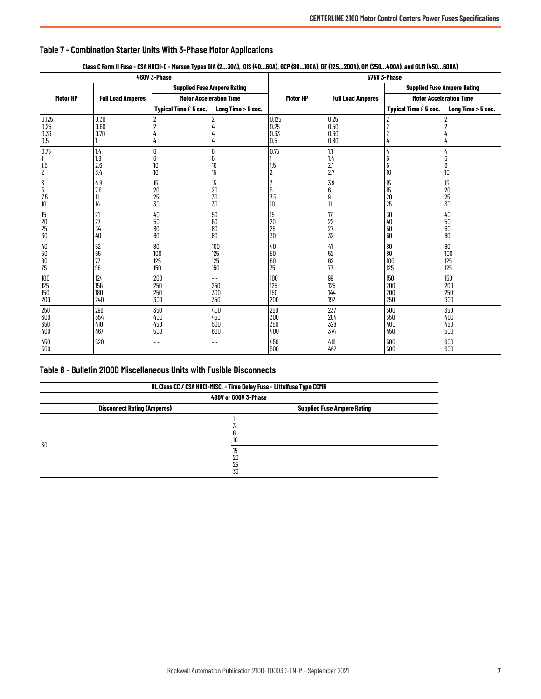|                               | Class C Form II Fuse - CSA HRCII-C - Mersen Types GIA (230A), GIS (4060A), GCP (80100A), GF (125200A), GM (250400A), and GLM (450600A) |                                    |                                 |                               |                              |                                    |                          |
|-------------------------------|----------------------------------------------------------------------------------------------------------------------------------------|------------------------------------|---------------------------------|-------------------------------|------------------------------|------------------------------------|--------------------------|
|                               |                                                                                                                                        | 460V 3-Phase                       |                                 | 575V 3-Phase                  |                              |                                    |                          |
|                               |                                                                                                                                        | <b>Supplied Fuse Ampere Rating</b> |                                 |                               |                              | <b>Supplied Fuse Ampere Rating</b> |                          |
| Motor HP                      | <b>Full Load Amperes</b>                                                                                                               | <b>Motor Acceleration Time</b>     |                                 | Motor HP                      | <b>Full Load Amperes</b>     | <b>Motor Acceleration Time</b>     |                          |
|                               |                                                                                                                                        | Typical Time $E$ 5 sec.            | Long Time > 5 sec.              |                               |                              | Typical Time $E$ 5 sec.            | Long Time > 5 sec.       |
| 0.125<br>0.25<br>0.33<br>0.5  | 0.30<br>0.60<br>0.70                                                                                                                   |                                    |                                 | 0.125<br>0.25<br>0.33<br>0.5  | 0.25<br>0.50<br>0.60<br>0.80 |                                    |                          |
| 0.75<br>1.5<br>$\overline{2}$ | 1.4<br>1.8<br>2.6<br>3.4                                                                                                               | 6<br>6<br>10<br>10                 | 6<br>6<br>10<br>15              | 0.75<br>1.5<br>$\overline{2}$ | 1.1<br>1.4<br>2.1<br>2.7     | 4<br>10                            | 6<br>6<br>10             |
| $rac{1}{5}$<br>7.5<br>10      | 4.8<br>7.6<br>11<br>14                                                                                                                 | 15<br>20<br>25<br>30               | 15<br>20<br>30<br>30            | 3<br>5<br>7.5<br>10           | 3.9<br>6.1<br>9<br>11        | 15<br>15<br>20<br>25               | 15<br>20<br>25<br>30     |
| 15<br>20<br>$\frac{25}{30}$   | 21<br>27<br>34<br>40                                                                                                                   | 40<br>50<br>80<br>80               | 50<br>60<br>80<br>80            | 15<br>20<br>25<br>30          | 17<br>22<br>27<br>32         | 30<br>40<br>50<br>60               | 40<br>50<br>60<br>80     |
| 40<br>50<br>60<br>75          | 52<br>65<br>77<br>96                                                                                                                   | 80<br>100<br>125<br>150            | 100<br>125<br>125<br>150        | 40<br>50<br>60<br>75          | 41<br>52<br>62<br>77         | 80<br>80<br>100<br>125             | 80<br>100<br>125<br>125  |
| 100<br>125<br>150<br>200      | 124<br>156<br>180<br>240                                                                                                               | 200<br>250<br>250<br>300           | $-$<br>250<br>300<br>350        | 100<br>125<br>150<br>200      | 99<br>125<br>144<br>192      | 150<br>200<br>200<br>250           | 150<br>200<br>250<br>300 |
| 250<br>300<br>350<br>400      | 296<br>354<br>410<br>467                                                                                                               | 350<br>400<br>450<br>500           | 400<br>450<br>500<br>600        | 250<br>300<br>350<br>400      | 237<br>284<br>328<br>374     | 300<br>350<br>400<br>450           | 350<br>400<br>450<br>500 |
| 450<br>500                    | 520<br>$ -$                                                                                                                            | $ -$                               | $\overline{\phantom{a}}$<br>$-$ | 450<br>500                    | 416<br>462                   | 500<br>500                         | 600<br>600               |

# <span id="page-6-2"></span><span id="page-6-0"></span>**Table 7 - Combination Starter Units With 3-Phase Motor Applications**

# <span id="page-6-1"></span>**Table 8 - Bulletin 2100D Miscellaneous Units with Fusible Disconnects**

| UL Class CC / CSA HRCI-MISC. - Time Delay Fuse - Littelfuse Type CCMR |                                    |  |  |  |
|-----------------------------------------------------------------------|------------------------------------|--|--|--|
|                                                                       | 480V or 600V 3-Phase               |  |  |  |
| <b>Disconnect Rating (Amperes)</b>                                    | <b>Supplied Fuse Ampere Rating</b> |  |  |  |
|                                                                       | <b>10</b>                          |  |  |  |
| 30                                                                    | 15<br>20<br>25<br>30               |  |  |  |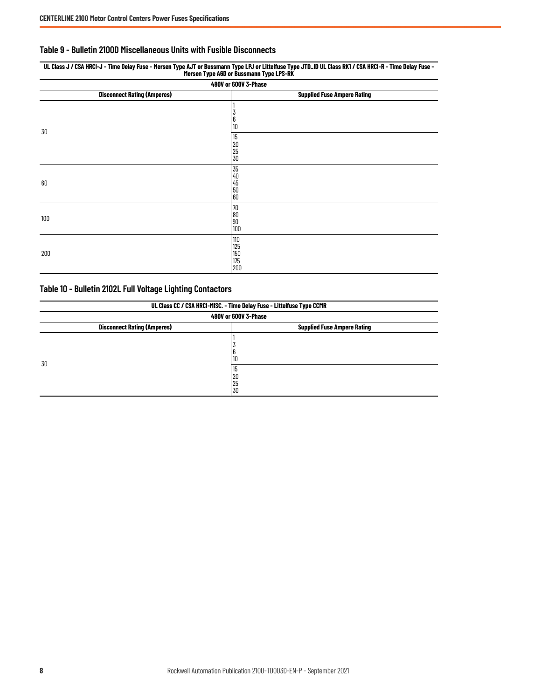#### <span id="page-7-0"></span>**Table 9 - Bulletin 2100D Miscellaneous Units with Fusible Disconnects**

| Mersen Type A6D or Bussmann Type LPS-RK |                                     |  |  |  |
|-----------------------------------------|-------------------------------------|--|--|--|
|                                         | 480V or 600V 3-Phase                |  |  |  |
| <b>Disconnect Rating (Amperes)</b>      | <b>Supplied Fuse Ampere Rating</b>  |  |  |  |
| 30                                      | 6<br>10                             |  |  |  |
|                                         | 15<br>20<br>$\frac{25}{30}$         |  |  |  |
| 60                                      | 35<br>40<br>45<br>50<br>60          |  |  |  |
| 100                                     | 70<br>80<br>90<br>100               |  |  |  |
| 200                                     | 110<br>125<br>$150\,$<br>175<br>200 |  |  |  |

# **UL Class J / CSA HRCI-J - Time Delay Fuse - Mersen Type AJT or Bussmann Type LPJ or Littelfuse Type JTD\_ID UL Class RK1 / CSA HRCI-R - Time Delay Fuse -**

## <span id="page-7-1"></span>**Table 10 - Bulletin 2102L Full Voltage Lighting Contactors**

| UL Class CC / CSA HRCI-MISC. - Time Delay Fuse - Littelfuse Type CCMR |                                    |  |  |  |
|-----------------------------------------------------------------------|------------------------------------|--|--|--|
|                                                                       | 480V or 600V 3-Phase               |  |  |  |
| <b>Disconnect Rating (Amperes)</b>                                    | <b>Supplied Fuse Ampere Rating</b> |  |  |  |
|                                                                       | 10                                 |  |  |  |
| 30                                                                    | 15<br>20<br>25<br>30               |  |  |  |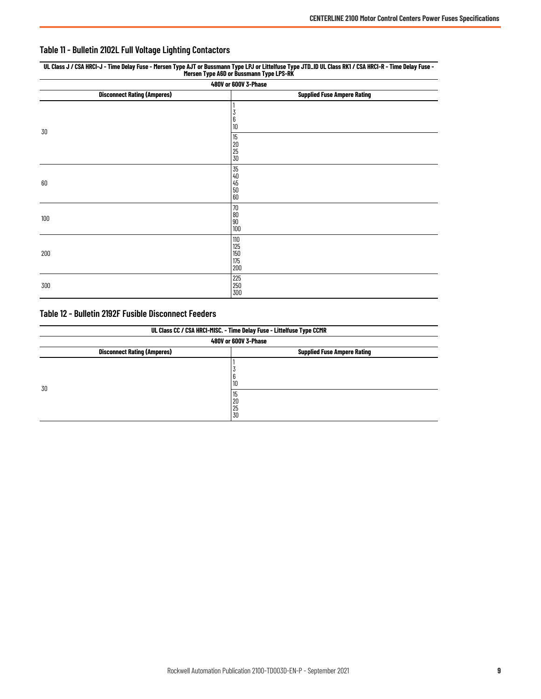## <span id="page-8-0"></span>**Table 11 - Bulletin 2102L Full Voltage Lighting Contactors**

| UL Class J / CSA HRCI-J - Time Delay Fuse - Mersen Type AJT or Bussmann Type LPJ or Littelfuse Type JTD_ID UL Class RK1 / CSA HRCI-R - Time Delay Fuse -<br>Mersen Type A6D or Bussmann Type LPS-RK |                                    |  |  |  |
|-----------------------------------------------------------------------------------------------------------------------------------------------------------------------------------------------------|------------------------------------|--|--|--|
|                                                                                                                                                                                                     | 480V or 600V 3-Phase               |  |  |  |
| <b>Disconnect Rating (Amperes)</b>                                                                                                                                                                  | <b>Supplied Fuse Ampere Rating</b> |  |  |  |
| 30                                                                                                                                                                                                  | 3<br>6<br>10                       |  |  |  |
|                                                                                                                                                                                                     | 15<br>20<br>25<br>30               |  |  |  |
| 60                                                                                                                                                                                                  | 35<br>40<br>45<br>50<br>60         |  |  |  |
| 100                                                                                                                                                                                                 | 70<br>80<br>90<br>100              |  |  |  |
| 200                                                                                                                                                                                                 | 110<br>125<br>150<br>175<br>200    |  |  |  |
| 300                                                                                                                                                                                                 | 225<br>250<br>300                  |  |  |  |

### <span id="page-8-1"></span>**Table 12 - Bulletin 2192F Fusible Disconnect Feeders**

| UL Class CC / CSA HRCI-MISC. - Time Delay Fuse - Littelfuse Type CCMR    |                      |  |  |  |
|--------------------------------------------------------------------------|----------------------|--|--|--|
|                                                                          | 480V or 600V 3-Phase |  |  |  |
| <b>Disconnect Rating (Amperes)</b><br><b>Supplied Fuse Ampere Rating</b> |                      |  |  |  |
|                                                                          | Ю                    |  |  |  |
| 30                                                                       | ۱b<br>20<br>25<br>30 |  |  |  |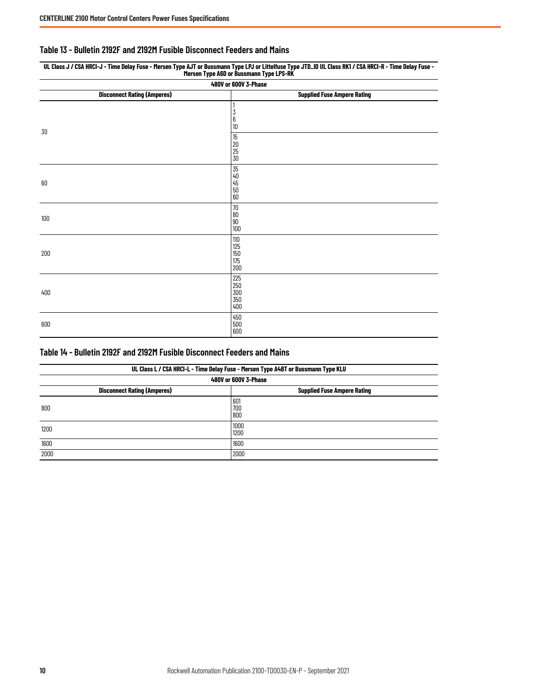#### <span id="page-9-0"></span>**Table 13 - Bulletin 2192F and 2192M Fusible Disconnect Feeders and Mains**

| The result Table with the pussing in Table of S-UV.                      |                                                                                  |  |  |  |
|--------------------------------------------------------------------------|----------------------------------------------------------------------------------|--|--|--|
| 480V or 600V 3-Phase                                                     |                                                                                  |  |  |  |
| <b>Disconnect Rating (Amperes)</b><br><b>Supplied Fuse Ampere Rating</b> |                                                                                  |  |  |  |
| 30                                                                       | 1<br>$\overline{3}$<br>$\overline{6}$<br>10                                      |  |  |  |
|                                                                          | $\overline{15}$<br>20<br>25<br>30                                                |  |  |  |
| 60                                                                       | 35<br>40<br>50<br>50<br>60                                                       |  |  |  |
| 100                                                                      | $\begin{array}{r} \hline 70 \\ \hline 80 \\ \hline 90 \\ \hline 100 \end{array}$ |  |  |  |
| 200                                                                      | $\begin{array}{c} 110 \\ 125 \\ 150 \\ 175 \\ 200 \end{array}$                   |  |  |  |
| 400                                                                      | 225<br>250<br>300<br>350<br>400                                                  |  |  |  |
| 600                                                                      | $\begin{array}{l} 450 \\ 500 \\ 600 \end{array}$                                 |  |  |  |

#### **UL Class J / CSA HRCI-J - Time Delay Fuse - Mersen Type AJT or Bussmann Type LPJ or Littelfuse Type JTD\_ID UL Class RK1 / CSA HRCI-R - Time Delay Fuse - Mersen Type A6D or Bussmann Type LPS-RK**

#### <span id="page-9-1"></span>**Table 14 - Bulletin 2192F and 2192M Fusible Disconnect Feeders and Mains**

| UL Class L / CSA HRCI-L - Time Delay Fuse - Mersen Type A4BT or Bussmann Type KLU<br>480V or 600V 3-Phase |                  |  |  |
|-----------------------------------------------------------------------------------------------------------|------------------|--|--|
|                                                                                                           |                  |  |  |
| 800                                                                                                       | 60<br>700<br>800 |  |  |
| 1200                                                                                                      | 1000<br>1200     |  |  |
| 1600                                                                                                      | 1600             |  |  |
| 2000                                                                                                      | 2000             |  |  |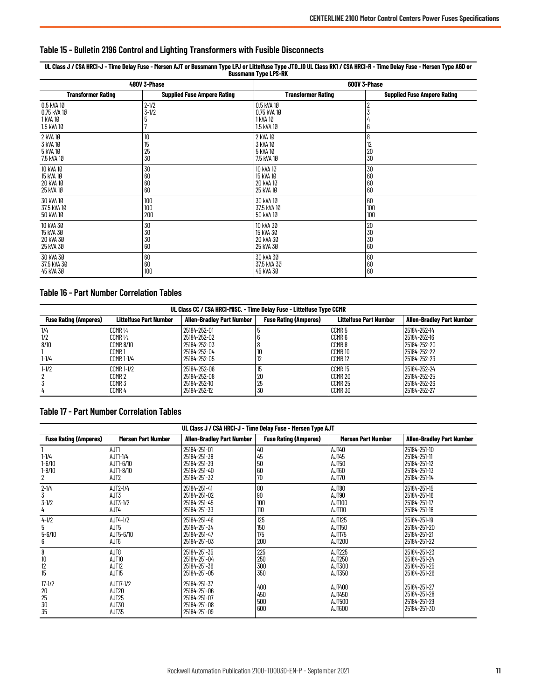<span id="page-10-0"></span>

| Table 15 - Bulletin 2196 Control and Lighting Transformers with Fusible Disconnects |  |  |
|-------------------------------------------------------------------------------------|--|--|
|-------------------------------------------------------------------------------------|--|--|

**UL Class J / CSA HRCI-J - Time Delay Fuse - Mersen AJT or Bussmann Type LPJ or Littelfuse Type JTD\_ID UL Class RK1 / CSA HRCI-R - Time Delay Fuse - Mersen Type A6D or Bussmann Type LPS-RK**

|                                                     | 480V 3-Phase                       | 600V 3-Phase                                        |                                                    |  |
|-----------------------------------------------------|------------------------------------|-----------------------------------------------------|----------------------------------------------------|--|
| <b>Transformer Rating</b>                           | <b>Supplied Fuse Ampere Rating</b> | <b>Transformer Rating</b>                           | <b>Supplied Fuse Ampere Rating</b>                 |  |
| 0.5 kVA 10<br>0.75 kVA 10<br>1 kVA 10<br>1.5 kVA 10 | $2 - 1/2$<br>$3 - 1/2$<br>5        | 0.5 kVA 10<br>0.75 kVA 10<br>1 kVA 10<br>1.5 kVA 10 | 2<br>6                                             |  |
| 2 kVA 10<br>3 kVA 10<br>5 kVA 10<br>7.5 kVA 10      | 10<br>15<br>25<br>30               | 2 kVA 10<br>3 kVA 10<br>5 kVA 10<br>7.5 kVA 10      | 8<br>$\begin{array}{c} 12 \\ 20 \\ 30 \end{array}$ |  |
| 10 kVA 10<br>15 kVA 10<br>20 kVA 10<br>25 kVA 10    | 30<br>60<br>60<br>60               | 10 kVA 10<br>15 kVA 10<br>20 kVA 10<br>25 kVA 10    | 30<br>60<br>60<br>60                               |  |
| 30 kVA 10<br>37.5 kVA 10<br>50 kVA 10               | 100<br>100<br>200                  | 30 kVA 10<br>37.5 kVA 10<br>50 kVA 10               | 60<br>100<br>100                                   |  |
| 10 kVA 30<br>15 kVA 30<br>20 kVA 30<br>25 kVA 30    | 30<br>30<br>30<br>60               | 10 KVA 30<br>15 kVA 30<br>20 kVA 30<br>25 kVA 30    | 20<br>30<br>30<br>60                               |  |
| 30 kVA 30<br>37.5 kVA 30<br>45 kVA 30               | 60<br>60<br>100                    | 30 kVA 30<br>37.5 kVA 30<br>45 kVA 30               | 60<br>$\begin{array}{c} 60 \\ 60 \end{array}$      |  |

#### <span id="page-10-1"></span>**Table 16 - Part Number Correlation Tables**

| UL Class CC / CSA HRCI-MISC. - Time Delay Fuse - Littelfuse Type CCMR |                                                                                        |                                                                              |                              |                                                                                             |                                                                              |
|-----------------------------------------------------------------------|----------------------------------------------------------------------------------------|------------------------------------------------------------------------------|------------------------------|---------------------------------------------------------------------------------------------|------------------------------------------------------------------------------|
| <b>Fuse Rating (Amperes)</b>                                          | <b>Littelfuse Part Number</b>                                                          | <b>Allen-Bradley Part Number</b>                                             | <b>Fuse Rating (Amperes)</b> | <b>Littelfuse Part Number</b>                                                               | <b>Allen-Bradley Part Number</b>                                             |
| 1/4<br>1/2<br>8/10<br>$1 - 1/4$                                       | CCMR <sub>1</sub> /4<br>$CCMR$ $V2$<br><b>CCMR 8/10</b><br>CCMR 1<br><b>CCMR 1-1/4</b> | 25184-252-01<br>25184-252-02<br>25184-252-03<br>25184-252-04<br>25184-252-05 |                              | CCMR <sub>5</sub><br>CCMR <sub>6</sub><br>CCMR8<br>CCMR <sub>10</sub><br>CCMR <sub>12</sub> | 25184-252-14<br>25184-252-16<br>25184-252-20<br>25184-252-22<br>25184-252-23 |
| $1 - 1/2$<br>4                                                        | <b>CCMR 1-1/2</b><br>CCMR <sub>2</sub><br>CCMR <sub>3</sub><br>CCMR <sub>4</sub>       | 25184-252-06<br>25184-252-08<br>25184-252-10<br>25184-252-12                 | 15<br>20<br>25<br>30         | CCMR <sub>15</sub><br>CCMR 20<br>CCMR 25<br>CCMR 30                                         | 25184-252-24<br>25184-252-25<br>25184-252-26<br>25184-252-27                 |

#### <span id="page-10-2"></span>**Table 17 - Part Number Correlation Tables**

| UL Class J / CSA HRCI-J - Time Delay Fuse - Mersen Type AJT |                                                                |                                                                              |                              |                                             |                                                                              |
|-------------------------------------------------------------|----------------------------------------------------------------|------------------------------------------------------------------------------|------------------------------|---------------------------------------------|------------------------------------------------------------------------------|
| <b>Fuse Rating (Amperes)</b>                                | Mersen Part Number                                             | <b>Allen-Bradley Part Number</b>                                             | <b>Fuse Rating (Amperes)</b> | Mersen Part Number                          | <b>Allen-Bradley Part Number</b>                                             |
| $1 - 1/4$<br>$1 - 6/10$<br>$1 - 8/10$<br>2                  | AJT1<br>AJT1-1/4<br>AJT1-6/10<br>AJT1-8/10<br>AJT <sub>2</sub> | 25184-251-01<br>25184-251-38<br>25184-251-39<br>25184-251-40<br>25184-251-32 | 40<br>45<br>50<br>60<br>70   | AJT40<br>AJT45<br>AJT50<br>AJT60<br>AJT70   | 25184-251-10<br>25184-251-11<br>25184-251-12<br>25184-251-13<br>25184-251-14 |
| $2 - 1/4$<br>3<br>$3 - 1/2$<br>4                            | AJT2-1/4<br>AJT3<br>AJT3-1/2<br>AJT4                           | 25184-251-41<br>25184-251-02<br>25184-251-45<br>25184-251-33                 | 80<br>90<br>100<br>110       | AJT80<br>AJT90<br>AJT100<br>AJT110          | 25184-251-15<br>25184-251-16<br>25184-251-17<br>25184-251-18                 |
| $4 - 1/2$<br>5<br>$5 - 6/10$<br>6                           | AJT4-1/2<br>AJT5<br>AJT5-6/10<br>AJT6                          | 25184-251-46<br>25184-251-34<br>25184-251-47<br>25184-251-03                 | 125<br>150<br>175<br>200     | AJT125<br>AJT150<br>AJT175<br>AJT200        | 25184-251-19<br>25184-251-20<br>25184-251-21<br>25184-251-22                 |
| 8<br>10<br>12<br>15                                         | AJT8<br>AJT10<br>AJT12<br>AJT15                                | 25184-251-35<br>25184-251-04<br>25184-251-36<br>25184-251-05                 | 225<br>250<br>300<br>350     | <b>AJT225</b><br>AJT250<br>AJT300<br>AJT350 | 25184-251-23<br>25184-251-24<br>25184-251-25<br>25184-251-26                 |
| $17 - 1/2$<br>20<br>25<br>30<br>35                          | AJT17-1/2<br>AJT20<br>AJT25<br>AJT30<br>AJT35                  | 25184-251-37<br>25184-251-06<br>25184-251-07<br>25184-251-08<br>25184-251-09 | 400<br>450<br>500<br>600     | AJT400<br>AJT450<br>AJT500<br>AJT600        | 25184-251-27<br>25184-251-28<br>25184-251-29<br>25184-251-30                 |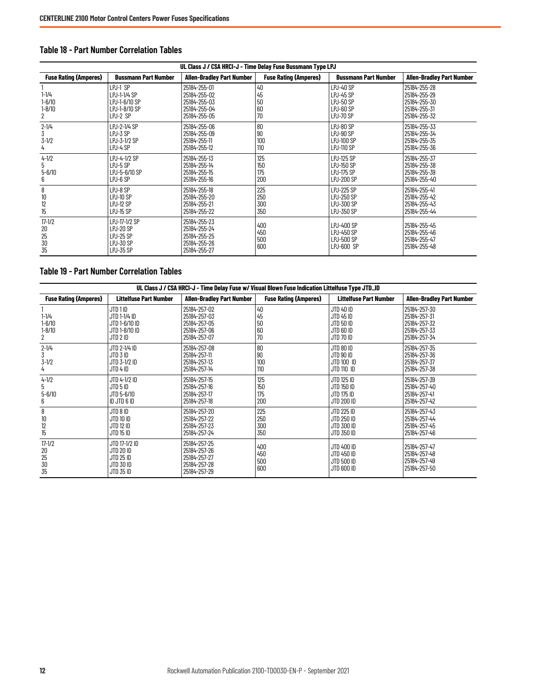| UL Class J / CSA HRCI-J - Time Delay Fuse Bussmann Type LPJ |                                                                        |                                                                              |                              |                                                                                    |                                                                              |
|-------------------------------------------------------------|------------------------------------------------------------------------|------------------------------------------------------------------------------|------------------------------|------------------------------------------------------------------------------------|------------------------------------------------------------------------------|
| <b>Fuse Rating (Amperes)</b>                                | <b>Bussmann Part Number</b>                                            | <b>Allen-Bradley Part Number</b>                                             | <b>Fuse Rating (Amperes)</b> | <b>Bussmann Part Number</b>                                                        | Allen-Bradley Part Number                                                    |
| $1 - 1/4$<br>$1 - 6/10$<br>$1 - 8/10$<br>2                  | LPJ-1 SP<br>LPJ-1-1/4 SP<br>LPJ-1-6/10 SP<br>LPJ-1-8/10 SP<br>LPJ-2 SP | 25184-255-01<br>25184-255-02<br>25184-255-03<br>25184-255-04<br>25184-255-05 | 40<br>45<br>50<br>60<br>70   | <b>LPJ-40 SP</b><br><b>LPJ-45 SP</b><br><b>LPJ-50 SP</b><br>LPJ-60 SP<br>LPJ-70 SP | 25184-255-28<br>25184-255-29<br>25184-255-30<br>25184-255-31<br>25184-255-32 |
| $2 - 1/4$<br>3<br>$3 - 1/2$<br>4                            | LPJ-2-1/4 SP<br>LPJ-3 SP<br>LPJ-3-1/2 SP<br>LPJ-4 SP                   | 25184-255-06<br>25184-255-09<br>25184-255-11<br>25184-255-12                 | 80<br>90<br>100<br>110       | LPJ-80 SP<br>LPJ-90 SP<br><b>LPJ-100 SP</b><br><b>LPJ-110 SP</b>                   | 25184-255-33<br>25184-255-34<br>25184-255-35<br>25184-255-36                 |
| $4 - 1/2$<br>5<br>$5 - 6/10$<br>6                           | LPJ-4-1/2 SP<br>$LPJ-5$ SP<br>LPJ-5-6/10 SP<br>LPJ-6 SP                | 25184-255-13<br>25184-255-14<br>25184-255-15<br>25184-255-16                 | 125<br>150<br>175<br>200     | <b>LPJ-125 SP</b><br><b>LPJ-150 SP</b><br><b>LPJ-175 SP</b><br><b>LPJ-200 SP</b>   | 25184-255-37<br>25184-255-38<br>25184-255-39<br>25184-255-40                 |
| 8<br>$\begin{array}{c} 10 \\ 12 \\ 15 \end{array}$          | LPJ-8 SP<br>LPJ-10 SP<br>LPJ-12 SP<br><b>LPJ-15 SP</b>                 | 25184-255-18<br>25184-255-20<br>25184-255-21<br>25184-255-22                 | 225<br>250<br>300<br>350     | <b>LPJ-225 SP</b><br><b>LPJ-250 SP</b><br>LPJ-300 SP<br>LPJ-350 SP                 | 25184-255-41<br>25184-255-42<br>25184-255-43<br>25184-255-44                 |
| $17 - 1/2$<br>20<br>25<br>30<br>35                          | LPJ-17-1/2 SP<br>LPJ-20 SP<br>LPJ-25 SP<br>LPJ-30 SP<br>LPJ-35 SP      | 25184-255-23<br>25184-255-24<br>25184-255-25<br>25184-255-26<br>25184-255-27 | 400<br>450<br>500<br>600     | LPJ-400 SP<br>LPJ-450 SP<br>LPJ-500 SP<br>LPJ-600 SP                               | 25184-255-45<br>25184-255-46<br>25184-255-47<br>25184-255-48                 |

#### <span id="page-11-0"></span>**Table 18 - Part Number Correlation Tables**

#### <span id="page-11-1"></span>**Table 19 - Part Number Correlation Tables**

| UL Class J / CSA HRCI-J - Time Delay Fuse w/ Visual Blown Fuse Indication Littelfuse Type JTD_ID |                                                                        |                                                                              |                              |                                                               |                                                                              |
|--------------------------------------------------------------------------------------------------|------------------------------------------------------------------------|------------------------------------------------------------------------------|------------------------------|---------------------------------------------------------------|------------------------------------------------------------------------------|
| <b>Fuse Rating (Amperes)</b>                                                                     | <b>Littelfuse Part Number</b>                                          | <b>Allen-Bradley Part Number</b>                                             | <b>Fuse Rating (Amperes)</b> | Littelfuse Part Number                                        | <b>Allen-Bradley Part Number</b>                                             |
| $1 - 1/4$<br>$1 - 6/10$<br>$1 - 8/10$<br>2                                                       | JTD 1 ID<br>JTD 1-1/4 ID<br>JTD 1-6/10 ID<br>JTD 1-8/10 ID<br>JTD 2 ID | 25184-257-02<br>25184-257-03<br>25184-257-05<br>25184-257-06<br>25184-257-07 | 40<br>45<br>50<br>60<br>70   | JTD 40 ID<br>JTD 45 ID<br>JTD 50 ID<br>JTD 60 ID<br>JTD 70 ID | 25184-257-30<br>25184-257-31<br>25184-257-32<br>25184-257-33<br>25184-257-34 |
| $2 - 1/4$<br>3<br>$3 - 1/2$<br>4                                                                 | JTD 2-1/4 ID<br>JTD 3 ID<br>JTD 3-1/2 ID<br>JTD 4 ID                   | 25184-257-08<br>25184-257-11<br>25184-257-13<br>25184-257-14                 | 80<br>90<br>100<br>110       | JTD 80 ID<br>JTD 90 ID<br>JTD 100 ID<br>JTD 110 ID            | 25184-257-35<br>25184-257-36<br>25184-257-37<br>25184-257-38                 |
| $4 - 1/2$<br>5<br>$5 - 6/10$<br>6                                                                | JTD 4-1/2 ID<br>JTD 5 ID<br>JTD 5-6/10<br>ID JTD 6 ID                  | 25184-257-15<br>25184-257-16<br>25184-257-17<br>25184-257-18                 | 125<br>150<br>175<br>200     | JTD 125 ID<br>JTD 150 ID<br>JTD 175 ID<br>JTD 200 ID          | 25184-257-39<br>25184-257-40<br>25184-257-41<br>25184-257-42                 |
| 8<br>$10\,$<br>12<br>15                                                                          | JTD 8 ID<br>JTD 10 ID<br>JTD 12 ID<br>JTD 15 ID                        | 25184-257-20<br>25184-257-22<br>25184-257-23<br>25184-257-24                 | 225<br>250<br>300<br>350     | JTD 225 ID<br>JTD 250 ID<br>JTD 300 ID<br>JTD 350 ID          | 25184-257-43<br>25184-257-44<br>25184-257-45<br>25184-257-46                 |
| $17 - 1/2$<br>20<br>25<br>30<br>35                                                               | JTD 17-1/2 ID<br>JTD 20 ID<br>JTD 25 ID<br>JTD 30 ID<br>JTD 35 ID      | 25184-257-25<br>25184-257-26<br>25184-257-27<br>25184-257-28<br>25184-257-29 | 400<br>450<br>500<br>600     | JTD 400 ID<br>JTD 450 ID<br>JTD 500 ID<br>JTD 600 ID          | 25184-257-47<br>25184-257-48<br>25184-257-49<br>25184-257-50                 |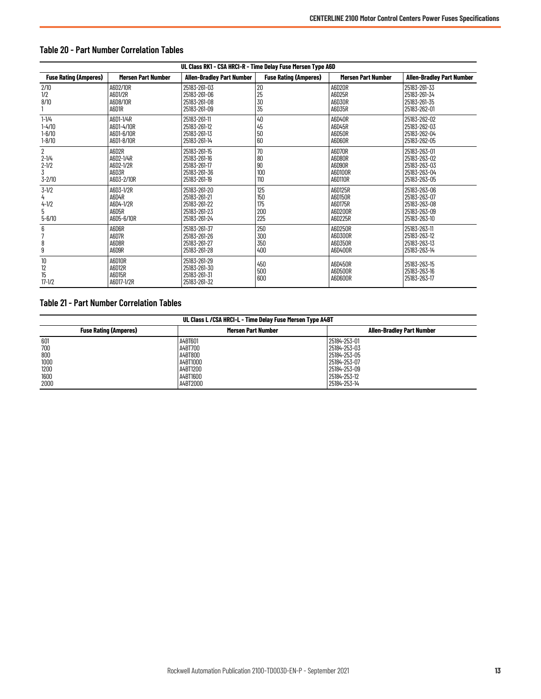| UL Class RK1 - CSA HRCI-R - Time Delay Fuse Mersen Type A6D<br><b>Fuse Rating (Amperes)</b><br><b>Allen-Bradley Part Number</b><br><b>Fuse Rating (Amperes)</b><br><b>Allen-Bradley Part Number</b><br><b>Mersen Part Number</b><br>Mersen Part Number |                                                        |                                                                              |                                 |                                                     |                                                                              |
|--------------------------------------------------------------------------------------------------------------------------------------------------------------------------------------------------------------------------------------------------------|--------------------------------------------------------|------------------------------------------------------------------------------|---------------------------------|-----------------------------------------------------|------------------------------------------------------------------------------|
| 2/10<br>1/2<br>8/10                                                                                                                                                                                                                                    | A6D2/10R<br>A6D1/2R<br>A6D8/10R<br>A6D1R               | 25183-261-03<br>25183-261-06<br>25183-261-08<br>25183-261-09                 | 20<br>25<br>30<br>35            | A6D20R<br>A6D25R<br>A6D30R<br>A6D35R                | 25183-261-33<br>25183-261-34<br>25183-261-35<br>25183-262-01                 |
| $1 - 1/4$<br>$1 - 4/10$<br>$1 - 6/10$<br>$1 - 8/10$                                                                                                                                                                                                    | A6D1-1/4R<br>A6D1-4/10R<br>A6D1-6/10R<br>A6D1-8/10R    | 25183-261-11<br>25183-261-12<br>25183-261-13<br>25183-261-14                 | 40<br>45<br>50<br>60            | A6D40R<br>A6D45R<br>A6D50R<br>A6D60R                | 25183-262-02<br>25183-262-03<br>25183-262-04<br>25183-262-05                 |
| $\overline{2}$<br>$2 - 1/4$<br>$2 - 1/2$<br>3<br>$3 - 2/10$                                                                                                                                                                                            | A6D2R<br>A6D2-1/4R<br>A6D2-1/2R<br>A6D3R<br>A6D3-2/10R | 25183-261-15<br>25183-261-16<br>25183-261-17<br>25183-261-36<br>25183-261-19 | 70<br>80<br>90<br>100<br>110    | A6D70R<br>A6D80R<br>A6D90R<br>A6D100R<br>A6D110R    | 25183-263-01<br>25183-263-02<br>25183-263-03<br>25183-263-04<br>25183-263-05 |
| $3 - 1/2$<br>4<br>$4 - 1/2$<br>5<br>$5 - 6/10$                                                                                                                                                                                                         | A6D3-1/2R<br>A6D4R<br>A6D4-1/2R<br>A6D5R<br>A6D5-6/10R | 25183-261-20<br>25183-261-21<br>25183-261-22<br>25183-261-23<br>25183-261-24 | 125<br>150<br>175<br>200<br>225 | A6D125R<br>A6D150R<br>A6D175R<br>A6D200R<br>A6D225R | 25183-263-06<br>25183-263-07<br>25183-263-08<br>25183-263-09<br>25183-263-10 |
| 6<br>8<br>9                                                                                                                                                                                                                                            | A6D6R<br>A6D7R<br>A6D8R<br>A6D9R                       | 25183-261-37<br>25183-261-26<br>25183-261-27<br>25183-261-28                 | 250<br>300<br>350<br>400        | A6D250R<br>A6D300R<br>A6D350R<br>A6D400R            | 25183-263-11<br>25183-263-12<br>25183-263-13<br>25183-263-14                 |
| 10<br>12<br>15<br>$17 - 1/2$                                                                                                                                                                                                                           | A6D10R<br>A6D12R<br>A6D15R<br>A6D17-1/2R               | 25183-261-29<br>25183-261-30<br>25183-261-31<br>25183-261-32                 | 450<br>500<br>600               | A6D450R<br>A6D500R<br>A6D600R                       | 25183-263-15<br>25183-263-16<br>25183-263-17                                 |

## <span id="page-12-0"></span>**Table 20 - Part Number Correlation Tables**

# <span id="page-12-1"></span>**Table 21 - Part Number Correlation Tables**

| UL Class L / CSA HRCI-L - Time Delay Fuse Mersen Type A4BT |                           |                                  |  |  |
|------------------------------------------------------------|---------------------------|----------------------------------|--|--|
| <b>Fuse Rating (Amperes)</b>                               | <b>Mersen Part Number</b> | <b>Allen-Bradlev Part Number</b> |  |  |
| 601                                                        | A4BT601                   | 25184-253-01                     |  |  |
| 700                                                        | A4BT700                   | 25184-253-03                     |  |  |
| 800                                                        | A4BT800                   | 25184-253-05                     |  |  |
| 1000                                                       | A4BT1000                  | 25184-253-07                     |  |  |
| 1200                                                       | A4BT1200                  | 25184-253-09                     |  |  |
| 1600                                                       | A4BT1600                  | 25184-253-12                     |  |  |
| 2000                                                       | A4BT2000                  | 25184-253-14                     |  |  |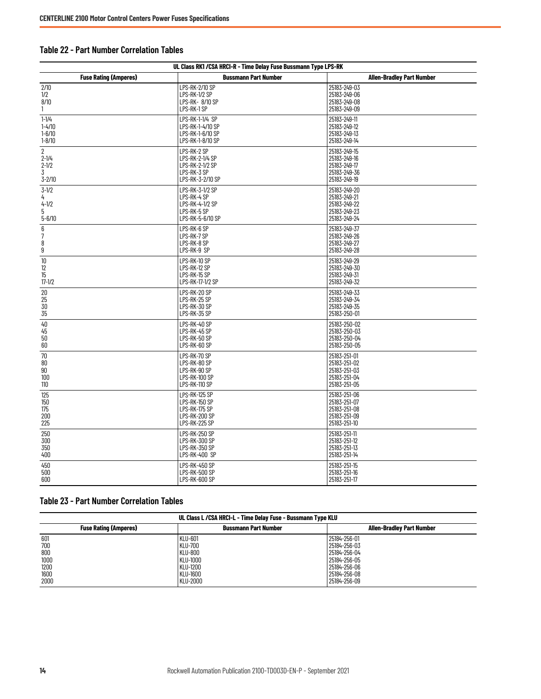### <span id="page-13-0"></span>**Table 22 - Part Number Correlation Tables**

| UL Class RK1 / CSA HRCI-R - Time Delay Fuse Bussmann Type LPS-RK |                                                          |                                                              |  |  |  |
|------------------------------------------------------------------|----------------------------------------------------------|--------------------------------------------------------------|--|--|--|
| <b>Fuse Rating (Amperes)</b>                                     | <b>Bussmann Part Number</b>                              | <b>Allen-Bradley Part Number</b>                             |  |  |  |
| $2/10$                                                           | LPS-RK-2/10 SP                                           | 25183-249-03                                                 |  |  |  |
| 1/2                                                              | LPS-RK-1/2 SP                                            | 25183-249-06                                                 |  |  |  |
| 8/10                                                             | LPS-RK- 8/10 SP                                          | 25183-249-08                                                 |  |  |  |
| 1                                                                | LPS-RK-1 SP                                              | 25183-249-09                                                 |  |  |  |
| $1 - 1/4$                                                        | LPS-RK-1-1/4 SP                                          | 25183-249-11                                                 |  |  |  |
| $1 - 4/10$                                                       | LPS-RK-1-4/10 SP                                         | 25183-249-12                                                 |  |  |  |
| $1 - 6/10$                                                       | LPS-RK-1-6/10 SP                                         | 25183-249-13                                                 |  |  |  |
| $1 - 8/10$                                                       | LPS-RK-1-8/10 SP                                         | 25183-249-14                                                 |  |  |  |
| $\overline{2}$                                                   | LPS-RK-2 SP                                              | 25183-249-15                                                 |  |  |  |
| $2 - 1/4$                                                        | LPS-RK-2-1/4 SP                                          | 25183-249-16                                                 |  |  |  |
| $2 - 1/2$                                                        | LPS-RK-2-1/2 SP                                          | 25183-249-17                                                 |  |  |  |
| 3                                                                | LPS-RK-3 SP                                              | 25183-249-36                                                 |  |  |  |
| $3 - 2/10$                                                       | LPS-RK-3-2/10 SP                                         | 25183-249-19                                                 |  |  |  |
| $3 - 1/2$                                                        | LPS-RK-3-1/2 SP                                          | 25183-249-20                                                 |  |  |  |
| 4                                                                | LPS-RK-4 SP                                              | 25183-249-21                                                 |  |  |  |
| $4 - 1/2$                                                        | LPS-RK-4-1/2 SP                                          | 25183-249-22                                                 |  |  |  |
| 5                                                                | LPS-RK-5 SP                                              | 25183-249-23                                                 |  |  |  |
| $5 - 6/10$                                                       | LPS-RK-5-6/10 SP                                         | 25183-249-24                                                 |  |  |  |
| $\begin{array}{c} 6 \\ 7 \end{array}$<br>8<br>$\boldsymbol{9}$   | LPS-RK-6 SP<br>LPS-RK-7 SP<br>LPS-RK-8 SP<br>LPS-RK-9 SP | 25183-249-37<br>25183-249-26<br>25183-249-27<br>25183-249-28 |  |  |  |
| 10                                                               | LPS-RK-10 SP                                             | 25183-249-29                                                 |  |  |  |
| 12                                                               | LPS-RK-12 SP                                             | 25183-249-30                                                 |  |  |  |
| 15                                                               | LPS-RK-15 SP                                             | 25183-249-31                                                 |  |  |  |
| $17 - 1/2$                                                       | LPS-RK-17-1/2 SP                                         | 25183-249-32                                                 |  |  |  |
| 20                                                               | LPS-RK-20 SP                                             | 25183-249-33                                                 |  |  |  |
| 25                                                               | LPS-RK-25 SP                                             | 25183-249-34                                                 |  |  |  |
| 30                                                               | LPS-RK-30 SP                                             | 25183-249-35                                                 |  |  |  |
| 35                                                               | LPS-RK-35 SP                                             | 25183-250-01                                                 |  |  |  |
| 40                                                               | LPS-RK-40 SP                                             | 25183-250-02                                                 |  |  |  |
| 45                                                               | LPS-RK-45 SP                                             | 25183-250-03                                                 |  |  |  |
| 50                                                               | LPS-RK-50 SP                                             | 25183-250-04                                                 |  |  |  |
| 60                                                               | LPS-RK-60 SP                                             | 25183-250-05                                                 |  |  |  |
| 70                                                               | LPS-RK-70 SP                                             | 25183-251-01                                                 |  |  |  |
| 80                                                               | LPS-RK-80 SP                                             | 25183-251-02                                                 |  |  |  |
| 90                                                               | LPS-RK-90 SP                                             | 25183-251-03                                                 |  |  |  |
| 100                                                              | LPS-RK-100 SP                                            | 25183-251-04                                                 |  |  |  |
| 110                                                              | LPS-RK-110 SP                                            | 25183-251-05                                                 |  |  |  |
| 125                                                              | LPS-RK-125 SP                                            | 25183-251-06                                                 |  |  |  |
| 150                                                              | LPS-RK-150 SP                                            | 25183-251-07                                                 |  |  |  |
| 175                                                              | LPS-RK-175 SP                                            | 25183-251-08                                                 |  |  |  |
| 200                                                              | LPS-RK-200 SP                                            | 25183-251-09                                                 |  |  |  |
| 225                                                              | LPS-RK-225 SP                                            | 25183-251-10                                                 |  |  |  |
| 250                                                              | LPS-RK-250 SP                                            | 25183-251-11                                                 |  |  |  |
| 300                                                              | LPS-RK-300 SP                                            | 25183-251-12                                                 |  |  |  |
| 350                                                              | LPS-RK-350 SP                                            | 25183-251-13                                                 |  |  |  |
| 400                                                              | LPS-RK-400 SP                                            | 25183-251-14                                                 |  |  |  |
| 450                                                              | LPS-RK-450 SP                                            | 25183-251-15                                                 |  |  |  |
| 500                                                              | LPS-RK-500 SP                                            | 25183-251-16                                                 |  |  |  |
| 600                                                              | LPS-RK-600 SP                                            | 25183-251-17                                                 |  |  |  |

### <span id="page-13-1"></span>**Table 23 - Part Number Correlation Tables**

| UL Class L / CSA HRCI-L - Time Delay Fuse - Bussmann Type KLU |                             |                                  |  |  |
|---------------------------------------------------------------|-----------------------------|----------------------------------|--|--|
| <b>Fuse Rating (Amperes)</b>                                  | <b>Bussmann Part Number</b> | <b>Allen-Bradlev Part Number</b> |  |  |
| 601                                                           | <b>KLU-601</b>              | 25184-256-01                     |  |  |
| 700                                                           | <b>KLU-700</b>              | 25184-256-03                     |  |  |
| 800                                                           | <b>KLU-800</b>              | 25184-256-04                     |  |  |
| 1000                                                          | KLU-1000                    | 25184-256-05                     |  |  |
| 1200                                                          | KLU-1200                    | 25184-256-06                     |  |  |
| 1600                                                          | KLU-1600                    | 25184-256-08                     |  |  |
| 2000                                                          | KLU-2000                    | 25184-256-09                     |  |  |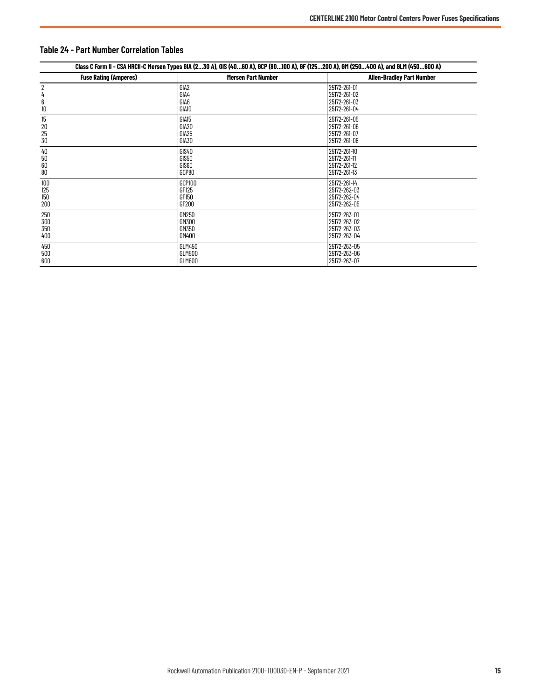| Class C Form II - CSA HRCII-C Mersen Types GIA (230 A), GIS (4060 A), GCP (80100 A), GF (125200 A), GM (250400 A), and GLM (450600 A) |                               |                                                              |  |  |
|---------------------------------------------------------------------------------------------------------------------------------------|-------------------------------|--------------------------------------------------------------|--|--|
| <b>Fuse Rating (Amperes)</b>                                                                                                          | <b>Mersen Part Number</b>     | <b>Allen-Bradley Part Number</b>                             |  |  |
| 6<br>10                                                                                                                               | GIA2<br>GIA4<br>GIA6<br>GIA10 | 25172-261-01<br>25172-261-02<br>25172-261-03<br>25172-261-04 |  |  |
| 15                                                                                                                                    | GIA15                         | 25172-261-05                                                 |  |  |
| 20                                                                                                                                    | GIA20                         | 25172-261-06                                                 |  |  |
| 25                                                                                                                                    | GIA25                         | 25172-261-07                                                 |  |  |
| 30                                                                                                                                    | GIA30                         | 25172-261-08                                                 |  |  |
| 40                                                                                                                                    | GIS40                         | 25172-261-10                                                 |  |  |
| 50                                                                                                                                    | GIS50                         | 25172-261-11                                                 |  |  |
| 60                                                                                                                                    | GIS60                         | 25172-261-12                                                 |  |  |
| 80                                                                                                                                    | GCP80                         | 25172-261-13                                                 |  |  |
| 100                                                                                                                                   | GCP100                        | 25172-261-14                                                 |  |  |
| 125                                                                                                                                   | GF125                         | 25172-262-03                                                 |  |  |
| 150                                                                                                                                   | GF150                         | 25172-262-04                                                 |  |  |
| 200                                                                                                                                   | GF200                         | 25172-262-05                                                 |  |  |
| 250                                                                                                                                   | GM250                         | 25172-263-01                                                 |  |  |
| 300                                                                                                                                   | GM300                         | 25172-263-02                                                 |  |  |
| 350                                                                                                                                   | GM350                         | 25172-263-03                                                 |  |  |
| 400                                                                                                                                   | GM400                         | 25172-263-04                                                 |  |  |
| 450                                                                                                                                   | GLM450                        | 25172-263-05                                                 |  |  |
| 500                                                                                                                                   | GLM500                        | 25172-263-06                                                 |  |  |
| 600                                                                                                                                   | GLM600                        | 25172-263-07                                                 |  |  |

# <span id="page-14-0"></span>**Table 24 - Part Number Correlation Tables**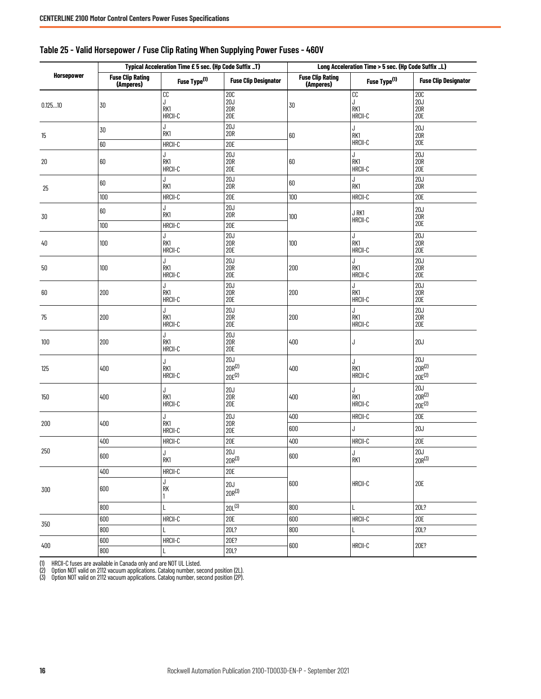|                   | Typical Acceleration Time £ 5 sec. (Hp Code Suffix _T) |                                |                                        | Long Acceleration Time > 5 sec. (Hp Code Suffix _L) |                           |                                   |
|-------------------|--------------------------------------------------------|--------------------------------|----------------------------------------|-----------------------------------------------------|---------------------------|-----------------------------------|
| <b>Horsepower</b> | <b>Fuse Clip Rating</b><br>(Amperes)                   | Fuse Type <sup>(1)</sup>       | <b>Fuse Clip Designator</b>            | <b>Fuse Clip Rating</b><br>(Amperes)                | Fuse Type <sup>(1)</sup>  | <b>Fuse Clip Designator</b>       |
| 0.12510           | 30                                                     | cc<br>J<br>RK1<br>HRCII-C      | 20C<br>20J<br>20R<br><b>20E</b>        | 30                                                  | cc<br>J<br>RK1<br>HRCII-C | 20C<br>20J<br>20R<br>20E          |
| 15                | 30<br>60                                               | J<br>RK1<br>HRCII-C            | 20J<br><b>20R</b><br><b>20E</b>        | 60                                                  | J<br>RK1<br>HRCII-C       | 20J<br>20R<br>20E                 |
| 20                | 60                                                     | J<br>RK1<br>HRCII-C            | 20J<br>20R<br><b>20E</b>               | 60                                                  | J<br>RK1<br>HRCII-C       | $20J$<br>$20R$<br><b>20E</b>      |
| 25                | 60<br>$100\,$                                          | J<br>RK1<br>HRCII-C            | 20J<br><b>20R</b><br><b>20E</b>        | 60<br>100                                           | J<br>RK1<br>HRCII-C       | 20J<br><b>20R</b><br><b>20E</b>   |
| 30                | $60\,$                                                 | J<br>RK1                       | 20J<br><b>20R</b>                      | 100                                                 | J RK1<br>HRCII-C          | 20J<br>20R<br><b>20E</b>          |
| 40                | 100<br>$100\,$                                         | HRCII-C<br>J<br>RK1<br>HRCII-C | <b>20E</b><br>20J<br>20R<br><b>20E</b> | 100                                                 | J<br>RK1<br>HRCII-C       | 20J<br>20R<br>20E                 |
| 50                | 100                                                    | J<br>RK1<br>HRCII-C            | 20J<br>20R<br>20E                      | 200                                                 | J<br>RK1<br>HRCII-C       | 20J<br>20R<br><b>20E</b>          |
| 60                | 200                                                    | J<br>RK1<br>HRCII-C            | 20J<br><b>20R</b><br><b>20E</b>        | 200                                                 | J<br>RK1<br>HRCII-C       | 20J<br>20R<br>20E                 |
| 75                | 200                                                    | J<br>RK1<br>HRCII-C            | 20J<br>20R<br><b>20E</b>               | 200                                                 | J<br>RK1<br>HRCII-C       | 20J<br>20R<br><b>20E</b>          |
| 100               | 200                                                    | J<br>RK1<br>HRCII-C            | 20J<br>$\overline{20}$ R<br>20E        | 400                                                 | J                         | 20J                               |
| 125               | 400                                                    | J<br>RK1<br>HRCII-C            | 20J<br>$20R^{(2)}$<br>$20E^{(2)}$      | 400                                                 | J<br>RK1<br>HRCII-C       | 20J<br>$20R^{(2)}$<br>$20E^{(2)}$ |
| 150               | 400                                                    | J<br>RK1<br>HRCII-C            | 20J<br>20R<br><b>20E</b>               | 400                                                 | J<br>RK1<br>HRCII-C       | 20J<br>$20R^{(2)}$<br>$20E^{(2)}$ |
| 200               | 400                                                    | J<br>RK1<br>HRCII-C            | 20J<br>20R<br><b>20E</b>               | 400<br>600                                          | HRCII-C<br>J              | 20E<br>20J                        |
|                   | 400                                                    | HRCII-C                        | 20E                                    | 400                                                 | HRCII-C                   | 20E                               |
| 250               | 600                                                    | J<br>RK1                       | 20J<br>$20R^{(3)}$                     | 600                                                 | J<br>RK1                  | 20J<br>$20R^{(3)}$                |
| 300               | $400$<br>600                                           | HRCII-C<br>J<br>RK             | 20E<br>20J<br>$20R^{(3)}$              | 600                                                 | HRCII-C                   | <b>20E</b>                        |
|                   | 800                                                    | L                              | $20L^{(3)}$                            | 800                                                 | Г                         | 20L?                              |
| 350               | 600                                                    | HRCII-C                        | 20E                                    | 600                                                 | HRCII-C                   | 20E                               |
|                   | 800                                                    | L                              | 20L?                                   | 800                                                 | L                         | 20L?                              |
| $400$             | $600\,$<br>$800\,$                                     | HRCII-C<br>L                   | 20E?<br>20L?                           | 600                                                 | HRCII-C                   | 20E?                              |

## <span id="page-15-0"></span>**Table 25 - Valid Horsepower / Fuse Clip Rating When Supplying Power Fuses - 460V**

<span id="page-15-1"></span>(1) HRCII-C fuses are available in Canada only and are NOT UL Listed.

<span id="page-15-2"></span>(2) Option NOT valid on 2112 vacuum applications. Catalog number, second position (2L). (3) Option NOT valid on 2112 vacuum applications. Catalog number, second position (2P).

<span id="page-15-3"></span>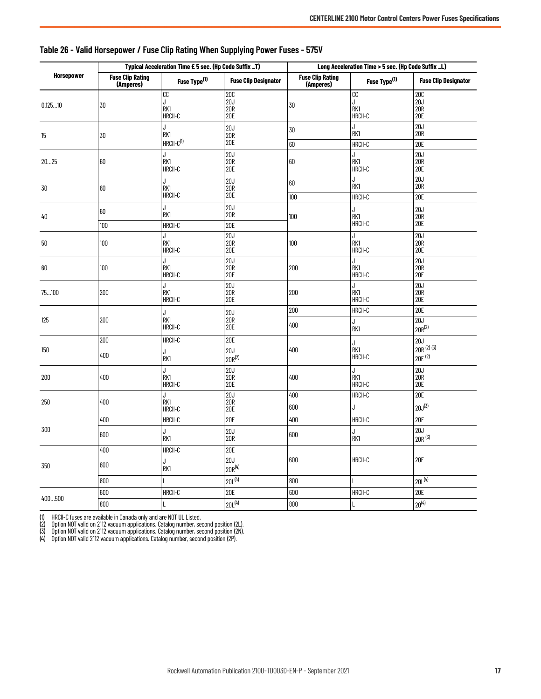|                   | Typical Acceleration Time £ 5 sec. (Hp Code Suffix _T) |                                |                                        | Long Acceleration Time > 5 sec. (Hp Code Suffix _L) |                                  |                                          |
|-------------------|--------------------------------------------------------|--------------------------------|----------------------------------------|-----------------------------------------------------|----------------------------------|------------------------------------------|
| <b>Horsepower</b> | <b>Fuse Clip Rating</b><br>(Amperes)                   | Fuse Type <sup>(1)</sup>       | <b>Fuse Clip Designator</b>            | <b>Fuse Clip Rating</b><br>(Amperes)                | Fuse Type <sup>(1)</sup>         | <b>Fuse Clip Designator</b>              |
| 0.12510           | 30                                                     | cc<br>J<br>RK1<br>HRCII-C      | <b>20C</b><br>20J<br><b>20R</b><br>20E | 30                                                  | cc<br>J<br>RK1<br>HRCII-C        | <b>20C</b><br>20J<br><b>20R</b><br>20E   |
| 15                | 30                                                     | J<br>RK1<br>$HRCII-C(1)$       | 20J<br><b>20R</b><br>20E               | 30<br>60                                            | J<br>RK1<br>HRCII-C              | 20J<br><b>20R</b><br>20E                 |
| 2025              | 60                                                     | J<br>RK1<br>HRCII-C            | 20J<br><b>20R</b><br>20E               | 60                                                  | J<br>RK1<br>HRCII-C              | 20J<br>20R<br>20E                        |
| 30                | 60                                                     | J<br>RK1<br>HRCII-C            | 20J<br><b>20R</b><br>20E               | 60<br>100                                           | J<br>RK1<br>HRCII-C              | 20J<br><b>20R</b><br><b>20E</b>          |
| 40                | $60\,$                                                 | J<br>RK1                       | 20J<br>20R                             | 100                                                 | J<br>RK1                         | 20J<br><b>20R</b>                        |
| 50                | 100<br>100                                             | HRCII-C<br>J<br>RK1<br>HRCII-C | 20E<br>20J<br><b>20R</b><br>20E        | 100                                                 | $HRCII-C$<br>J<br>RK1<br>HRCII-C | 20E<br>20J<br><b>20R</b><br><b>20E</b>   |
| 60                | 100                                                    | J<br>RK1<br>HRCII-C            | 20J<br><b>20R</b><br>20E               | 200                                                 | J<br>RK1<br>HRCII-C              | 20J<br><b>20R</b><br><b>20E</b>          |
| 75100             | 200                                                    | J<br>RK1<br>HRCII-C            | 20J<br>20R<br>20E                      | 200                                                 | J<br>RK1<br>HRCII-C              | 20J<br>20R<br>20E                        |
| 125               | 200                                                    | J<br>RK1<br>HRCII-C            | 20J<br><b>20R</b><br>20E               | 200<br>400                                          | HRCII-C<br>J<br>RK1              | 20E<br>20J<br>$20R^{(2)}$                |
| 150               | 200<br>400                                             | HRCII-C<br>J<br>RK1            | <b>20E</b><br>20J<br>$20R^{(2)}$       | 400                                                 | J<br>RK1<br>HRCII-C              | 20J<br>20R (2) (3)<br>20E <sup>(2)</sup> |
| 200               | 400                                                    | J<br>RK1<br>HRCII-C            | 20J<br>20R<br>20E                      | 400                                                 | J<br>RK1<br>HRCII-C              | 20J<br>20R<br>20E                        |
| 250               | 400                                                    | J<br>RK1<br>HRCII-C            | 20J<br><b>20R</b><br>20E               | 400<br>600                                          | HRCII-C<br>J                     | 20E<br>$20J^{(3)}$                       |
|                   | 400                                                    | HRCII-C                        | 20E                                    | 400                                                 | HRCII-C                          | 20E                                      |
| 300               | 600                                                    | J<br>RK1                       | 20J<br>20R                             | 600                                                 | J<br>RK1                         | 20J<br>$20R^{(3)}$                       |
| 350               | 400                                                    | HRCII-C                        | 20E                                    | 600                                                 | HRCII-C                          |                                          |
|                   | 600                                                    | J<br>RK1                       | 20J<br>$20R^{(4)}$                     |                                                     |                                  | 20E                                      |
|                   | 800                                                    | L                              | $20L^{(4)}$                            | 800                                                 | L                                | $20L^{(4)}$                              |
| 400500            | 600                                                    | HRCII-C                        | 20E                                    | 600                                                 | HRCII-C                          | 20E                                      |
|                   | 800                                                    |                                | $20L^{(4)}$                            | 800                                                 | L                                | $20^{(4)}$                               |

#### <span id="page-16-0"></span>**Table 26 - Valid Horsepower / Fuse Clip Rating When Supplying Power Fuses - 575V**

<span id="page-16-1"></span>

<span id="page-16-2"></span>(1) HRCII-C fuses are available in Canada only and are NOT UL Listed.<br>(2) Option NOT valid on 2112 vacuum applications. Catalog number, second position (2L).<br>(3) Option NOT valid on 2112 vacuum applications. Cata

<span id="page-16-3"></span>

<span id="page-16-4"></span>(4) Option NOT valid 2112 vacuum applications. Catalog number, second position (2P).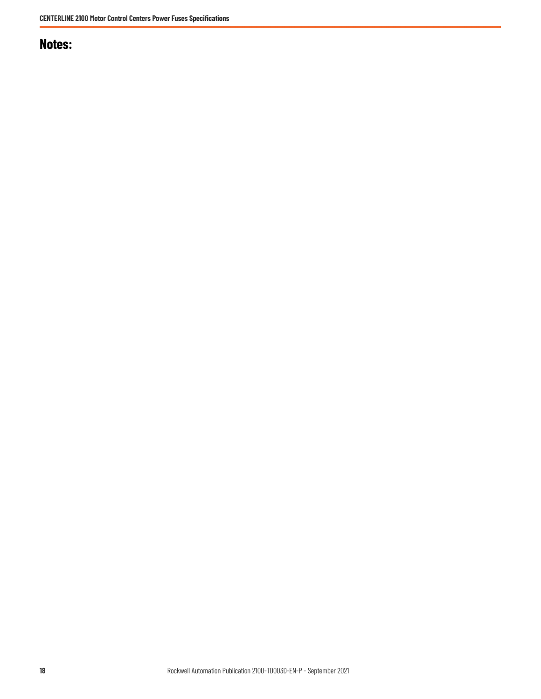# **Notes:**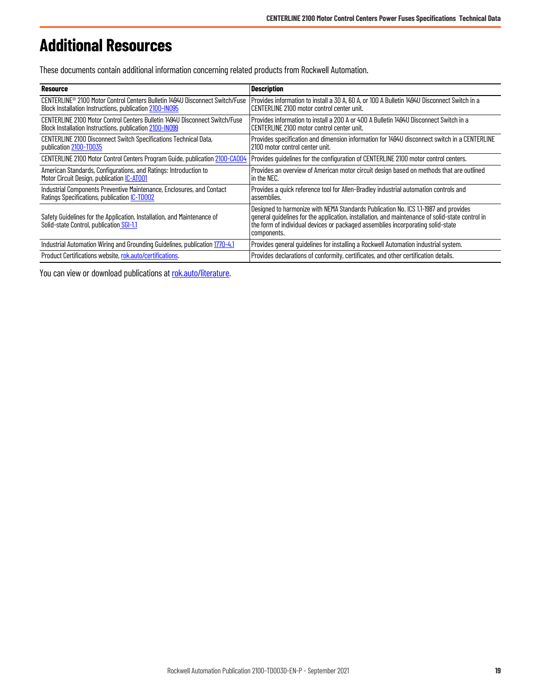# <span id="page-18-0"></span>**Additional Resources**

These documents contain additional information concerning related products from Rockwell Automation.

| <b>Resource</b>                                                                                                     | <b>Description</b>                                                                                                                                                                                                                                                                       |
|---------------------------------------------------------------------------------------------------------------------|------------------------------------------------------------------------------------------------------------------------------------------------------------------------------------------------------------------------------------------------------------------------------------------|
| CENTERLINE <sup>®</sup> 2100 Motor Control Centers Bulletin 1494U Disconnect Switch/Fuse                            | Provides information to install a 30 A, 60 A, or 100 A Bulletin 1494U Disconnect Switch in a                                                                                                                                                                                             |
| Block Installation Instructions, publication 2100-IN095                                                             | CENTERLINE 2100 motor control center unit.                                                                                                                                                                                                                                               |
| CENTERLINE 2100 Motor Control Centers Bulletin 1494U Disconnect Switch/Fuse                                         | Provides information to install a 200 A or 400 A Bulletin 1494U Disconnect Switch in a                                                                                                                                                                                                   |
| Block Installation Instructions, publication 2100-IN099                                                             | CENTERLINE 2100 motor control center unit.                                                                                                                                                                                                                                               |
| CENTERLINE 2100 Disconnect Switch Specifications Technical Data,                                                    | Provides specification and dimension information for 1494U disconnect switch in a CENTERLINE                                                                                                                                                                                             |
| publication 2100-TD035                                                                                              | 2100 motor control center unit.                                                                                                                                                                                                                                                          |
| <b>CENTERLINE 2100 Motor Control Centers Program Guide, publication 2100-CA004</b>                                  | Provides quidelines for the configuration of CENTERLINE 2100 motor control centers.                                                                                                                                                                                                      |
| American Standards, Configurations, and Ratings: Introduction to                                                    | Provides an overview of American motor circuit design based on methods that are outlined                                                                                                                                                                                                 |
| Motor Circuit Design, publication <i>IC-AT001</i>                                                                   | in the NEC.                                                                                                                                                                                                                                                                              |
| Industrial Components Preventive Maintenance, Enclosures, and Contact                                               | Provides a quick reference tool for Allen-Bradley industrial automation controls and                                                                                                                                                                                                     |
| Ratings Specifications, publication <i>IC-TD002</i>                                                                 | assemblies.                                                                                                                                                                                                                                                                              |
| Safety Guidelines for the Application, Installation, and Maintenance of<br>Solid-state Control, publication SGI-1.1 | Designed to harmonize with NEMA Standards Publication No. ICS 1.1-1987 and provides<br>general guidelines for the application, installation, and maintenance of solid-state control in<br>the form of individual devices or packaged assemblies incorporating solid-state<br>components. |
| Industrial Automation Wiring and Grounding Guidelines, publication 1770-4.1                                         | Provides general guidelines for installing a Rockwell Automation industrial system.                                                                                                                                                                                                      |
| Product Certifications website, rok.auto/certifications.                                                            | Provides declarations of conformity, certificates, and other certification details.                                                                                                                                                                                                      |

You can view or download publications at [rok.auto/literature.](https://rok.auto/literature)